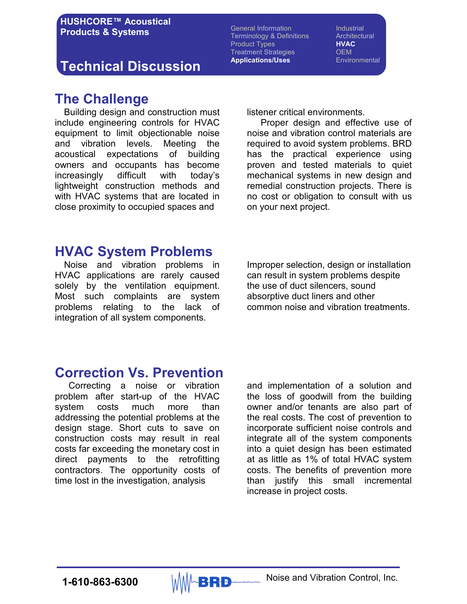### Technical Discussion

General Information **Industrial** Terminology & Definitions **Architectural** Product Types **HVAC** Treatment Strategies **OEM** Applications/Uses Environmental

### The Challenge

 Building design and construction must include engineering controls for HVAC equipment to limit objectionable noise and vibration levels. Meeting the acoustical expectations of building owners and occupants has become increasingly difficult with today's lightweight construction methods and with HVAC systems that are located in close proximity to occupied spaces and

listener critical environments.

 Proper design and effective use of noise and vibration control materials are required to avoid system problems. BRD has the practical experience using proven and tested materials to quiet mechanical systems in new design and remedial construction projects. There is no cost or obligation to consult with us on your next project.

### HVAC System Problems

 Noise and vibration problems in HVAC applications are rarely caused solely by the ventilation equipment. Most such complaints are system problems relating to the lack of integration of all system components.

Improper selection, design or installation can result in system problems despite the use of duct silencers, sound absorptive duct liners and other common noise and vibration treatments.

### Correction Vs. Prevention

 Correcting a noise or vibration problem after start-up of the HVAC system costs much more than addressing the potential problems at the design stage. Short cuts to save on construction costs may result in real costs far exceeding the monetary cost in direct payments to the retrofitting contractors. The opportunity costs of time lost in the investigation, analysis

and implementation of a solution and the loss of goodwill from the building owner and/or tenants are also part of the real costs. The cost of prevention to incorporate sufficient noise controls and integrate all of the system components into a quiet design has been estimated at as little as 1% of total HVAC system costs. The benefits of prevention more than justify this small incremental increase in project costs.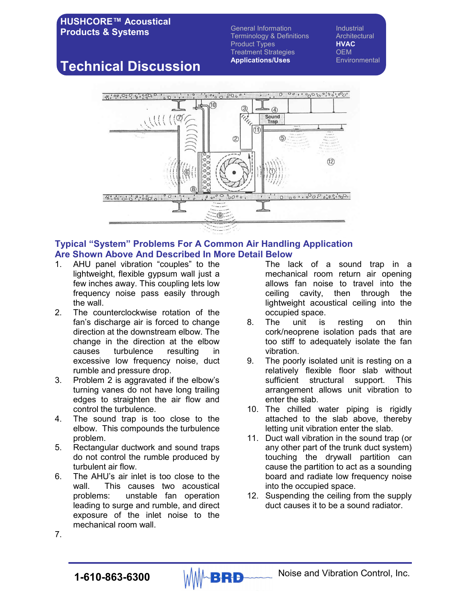General Information **Industrial** Terminology & Definitions Architectural<br>Product Types **HVAC** Product Types Treatment Strategies **OEM** Applications/Uses Environmental

# Technical Discussion



#### Typical "System" Problems For A Common Air Handling Application Are Shown Above And Described In More Detail Below

- 1. AHU panel vibration "couples" to the lightweight, flexible gypsum wall just a few inches away. This coupling lets low frequency noise pass easily through the wall.
- 2. The counterclockwise rotation of the fan's discharge air is forced to change direction at the downstream elbow. The change in the direction at the elbow causes turbulence resulting in excessive low frequency noise, duct rumble and pressure drop.
- 3. Problem 2 is aggravated if the elbow's turning vanes do not have long trailing edges to straighten the air flow and control the turbulence.
- 4. The sound trap is too close to the elbow. This compounds the turbulence problem.
- 5. Rectangular ductwork and sound traps do not control the rumble produced by turbulent air flow.
- 6. The AHU's air inlet is too close to the wall. This causes two acoustical problems: unstable fan operation leading to surge and rumble, and direct exposure of the inlet noise to the mechanical room wall.

The lack of a sound trap in a mechanical room return air opening allows fan noise to travel into the ceiling cavity, then through the lightweight acoustical ceiling into the occupied space.

- 8. The unit is resting on thin cork/neoprene isolation pads that are too stiff to adequately isolate the fan vibration.
- 9. The poorly isolated unit is resting on a relatively flexible floor slab without sufficient structural support. This arrangement allows unit vibration to enter the slab.
- 10. The chilled water piping is rigidly attached to the slab above, thereby letting unit vibration enter the slab.
- 11. Duct wall vibration in the sound trap (or any other part of the trunk duct system) touching the drywall partition can cause the partition to act as a sounding board and radiate low frequency noise into the occupied space.
- 12. Suspending the ceiling from the supply duct causes it to be a sound radiator.

7.

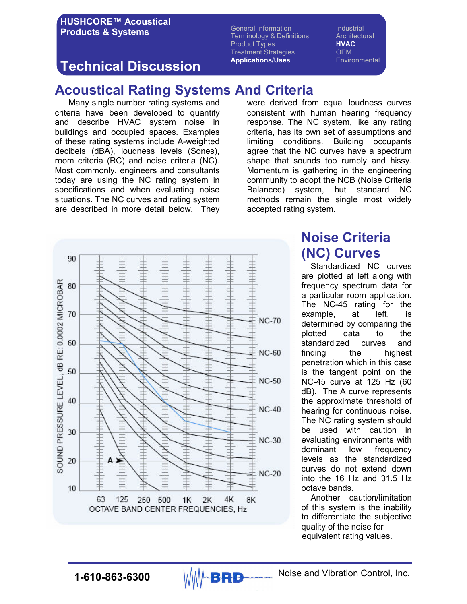General Information **Industrial** Terminology & Definitions **Architectural** Product Types **HVAC** Treatment Strategies **OEM** Applications/Uses Environmental

## Technical Discussion

# Acoustical Rating Systems And Criteria

Many single number rating systems and criteria have been developed to quantify and describe HVAC system noise in buildings and occupied spaces. Examples of these rating systems include A-weighted decibels (dBA), loudness levels (Sones), room criteria (RC) and noise criteria (NC). Most commonly, engineers and consultants today are using the NC rating system in specifications and when evaluating noise situations. The NC curves and rating system are described in more detail below. They



were derived from equal loudness curves consistent with human hearing frequency response. The NC system, like any rating criteria, has its own set of assumptions and limiting conditions. Building occupants agree that the NC curves have a spectrum shape that sounds too rumbly and hissy. Momentum is gathering in the engineering community to adopt the NCB (Noise Criteria Balanced) system, but standard NC methods remain the single most widely accepted rating system.

# Noise Criteria (NC) Curves

 Standardized NC curves are plotted at left along with frequency spectrum data for a particular room application. The NC-45 rating for the example, at left, is determined by comparing the plotted data to the standardized curves and finding the highest penetration which in this case is the tangent point on the NC-45 curve at 125 Hz (60 dB). The A curve represents the approximate threshold of hearing for continuous noise. The NC rating system should be used with caution in evaluating environments with dominant low frequency levels as the standardized curves do not extend down into the 16 Hz and 31.5 Hz octave bands.

 Another caution/limitation of this system is the inability to differentiate the subjective quality of the noise for equivalent rating values.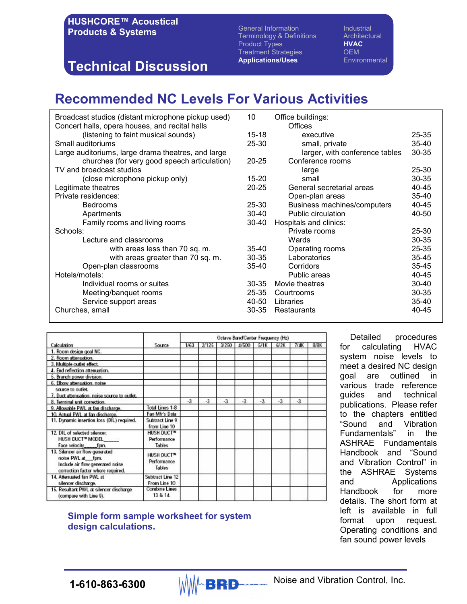# Technical Discussion

General Information **Industrial** Terminology & Definitions Architectural<br>Product Types **HVAC** Product Types **HVAC** Treatment Strategies OEM Applications/Uses Environmental

# Recommended NC Levels For Various Activities

| 10        | Office buildings:              |                                              |
|-----------|--------------------------------|----------------------------------------------|
|           | <b>Offices</b>                 |                                              |
| $15 - 18$ | executive                      | 25-35                                        |
| 25-30     | small, private                 | $35 - 40$                                    |
|           | larger, with conference tables | 30-35                                        |
| $20 - 25$ | Conference rooms               |                                              |
|           | large                          | 25-30                                        |
| 15-20     | small                          | 30-35                                        |
| $20 - 25$ | General secretarial areas      | 40-45                                        |
|           | Open-plan areas                | $35 - 40$                                    |
| $25 - 30$ | Business machines/computers    | 40-45                                        |
| $30 - 40$ |                                | 40-50                                        |
| $30 - 40$ |                                |                                              |
|           | Private rooms                  | $25 - 30$                                    |
|           | Wards                          | 30-35                                        |
| 35-40     | Operating rooms                | 25-35                                        |
| $30 - 35$ | Laboratories                   | $35 - 45$                                    |
| $35 - 40$ | Corridors                      | $35 - 45$                                    |
|           | Public areas                   | 40-45                                        |
| $30 - 35$ | Movie theatres                 | $30 - 40$                                    |
| 25-35     | Courtrooms                     | 30-35                                        |
| 40-50     | Libraries                      | $35 - 40$                                    |
| 30-35     | Restaurants                    | 40-45                                        |
|           |                                | Public circulation<br>Hospitals and clinics: |

| Calculation                                                                                                                   | Source                                                        | Octave Band/Center Frequency (Hz) |       |       |       |      |      |      |      |
|-------------------------------------------------------------------------------------------------------------------------------|---------------------------------------------------------------|-----------------------------------|-------|-------|-------|------|------|------|------|
|                                                                                                                               |                                                               | 1/63                              | 2/125 | 3/250 | 4/500 | 5/1K | 6/2K | 7/4K | 8/8K |
| 1. Room design goal NC.                                                                                                       |                                                               |                                   |       |       |       |      |      |      |      |
| 2. Room attenuation.                                                                                                          |                                                               |                                   |       |       |       |      |      |      |      |
| 3. Multiple outlet effect.                                                                                                    |                                                               |                                   |       |       |       |      |      |      |      |
| 4. End reflection attenuation.                                                                                                |                                                               |                                   |       |       |       |      |      |      |      |
| 5. Branch power division.                                                                                                     |                                                               |                                   |       |       |       |      |      |      |      |
| 6. Elbow attenuation, noise                                                                                                   |                                                               |                                   |       |       |       |      |      |      |      |
| source to outlet.                                                                                                             |                                                               |                                   |       |       |       |      |      |      |      |
| 7. Duct attenuation, noise source to outlet,                                                                                  |                                                               |                                   |       |       |       |      |      |      |      |
| 8. Terminal unit correction.                                                                                                  |                                                               | $-3$                              | $-3$  | $-3$  | $-3$  | $-3$ | $-3$ | $-3$ |      |
| 9. Allowable PWL at fan discharge.                                                                                            | Total Lines 1-8                                               |                                   |       |       |       |      |      |      |      |
| 10. Actual PWL at fan discharge.                                                                                              | Fan Mfr's Data                                                |                                   |       |       |       |      |      |      |      |
| 11. Dynamic insertion loss (DIL) required.                                                                                    | Subtract Line 9<br>from Line 10                               |                                   |       |       |       |      |      |      |      |
| 12. DIL of selected silencer.<br>HUSH DUCT™ MODEL<br>Face velocity fpm.                                                       | <b>HUSH DUCT<sup>IV</sup></b><br>Performance<br>Tables        |                                   |       |       |       |      |      |      |      |
| 13. Silencer air flow generated<br>noise PWL at fpm.<br>Include air flow generated noise<br>correction factor where required. | <b>HUSH DUCT<sup>IV</sup></b><br>Performance<br><b>Tables</b> |                                   |       |       |       |      |      |      |      |
| 14. Attenuated fan PWL at<br>silencer discharge.                                                                              | Subtract Line 12<br>From Line 10                              |                                   |       |       |       |      |      |      |      |
| 15. Resultant PWL at silencer discharge<br>(compare with Line 9).                                                             | <b>Combine Lines</b><br>13 & 14.                              |                                   |       |       |       |      |      |      |      |

### Simple form sample worksheet for system design calculations.

 Detailed procedures for calculating HVAC system noise levels to meet a desired NC design goal are outlined in various trade reference guides and technical publications. Please refer to the chapters entitled "Sound and Vibration Fundamentals" in the ASHRAE Fundamentals Handbook and "Sound and Vibration Control" in the ASHRAE Systems and Applications Handbook for more details. The short form at left is available in full format upon request. Operating conditions and fan sound power levels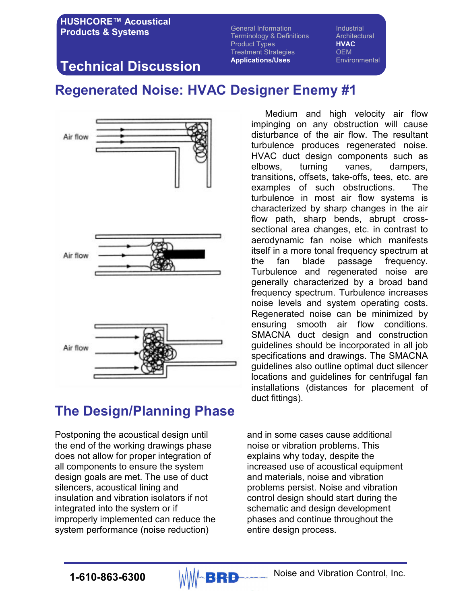General Information **Industrial** Terminology & Definitions **Architectural** Product Types **HVAC** Treatment Strategies **OEM** Applications/Uses Environmental

## Technical Discussion

# Regenerated Noise: HVAC Designer Enemy #1



# The Design/Planning Phase

Postponing the acoustical design until the end of the working drawings phase does not allow for proper integration of all components to ensure the system design goals are met. The use of duct silencers, acoustical lining and insulation and vibration isolators if not integrated into the system or if improperly implemented can reduce the system performance (noise reduction)

Medium and high velocity air flow impinging on any obstruction will cause disturbance of the air flow. The resultant turbulence produces regenerated noise. HVAC duct design components such as elbows, turning vanes, dampers, transitions, offsets, take-offs, tees, etc. are examples of such obstructions. The turbulence in most air flow systems is characterized by sharp changes in the air flow path, sharp bends, abrupt crosssectional area changes, etc. in contrast to aerodynamic fan noise which manifests itself in a more tonal frequency spectrum at the fan blade passage frequency. Turbulence and regenerated noise are generally characterized by a broad band frequency spectrum. Turbulence increases noise levels and system operating costs. Regenerated noise can be minimized by ensuring smooth air flow conditions. SMACNA duct design and construction guidelines should be incorporated in all job specifications and drawings. The SMACNA guidelines also outline optimal duct silencer locations and guidelines for centrifugal fan installations (distances for placement of duct fittings).

and in some cases cause additional noise or vibration problems. This explains why today, despite the increased use of acoustical equipment and materials, noise and vibration problems persist. Noise and vibration control design should start during the schematic and design development phases and continue throughout the entire design process.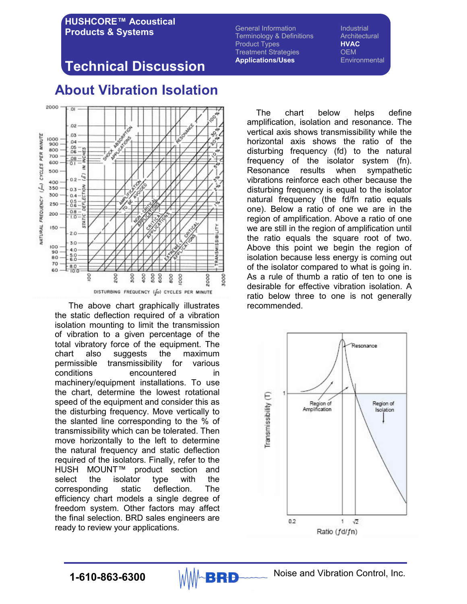General Information **Industrial** Terminology & Definitions **Architectural** Product Types **HVAC** Treatment Strategies **OEM** Applications/Uses Environmental

## Technical Discussion



 The above chart graphically illustrates the static deflection required of a vibration isolation mounting to limit the transmission of vibration to a given percentage of the total vibratory force of the equipment. The chart also suggests the maximum permissible transmissibility for various conditions encountered in machinery/equipment installations. To use the chart, determine the lowest rotational speed of the equipment and consider this as the disturbing frequency. Move vertically to the slanted line corresponding to the % of transmissibility which can be tolerated. Then move horizontally to the left to determine the natural frequency and static deflection required of the isolators. Finally, refer to the HUSH MOUNT™ product section and select the isolator type with the corresponding static deflection. The efficiency chart models a single degree of freedom system. Other factors may affect the final selection. BRD sales engineers are ready to review your applications.

The chart below helps define amplification, isolation and resonance. The vertical axis shows transmissibility while the horizontal axis shows the ratio of the disturbing frequency (fd) to the natural frequency of the isolator system (fn). Resonance results when sympathetic vibrations reinforce each other because the disturbing frequency is equal to the isolator natural frequency (the fd/fn ratio equals one). Below a ratio of one we are in the region of amplification. Above a ratio of one we are still in the region of amplification until the ratio equals the square root of two. Above this point we begin the region of isolation because less energy is coming out of the isolator compared to what is going in. As a rule of thumb a ratio of ten to one is desirable for effective vibration isolation. A ratio below three to one is not generally recommended.